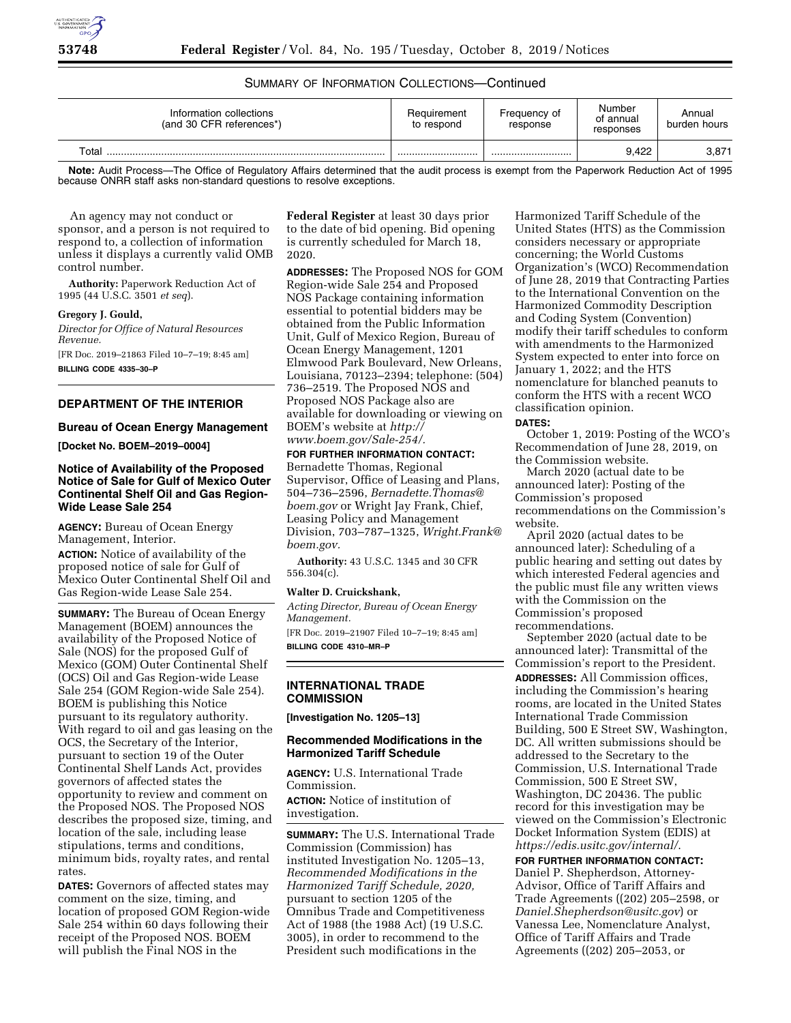

# SUMMARY OF INFORMATION COLLECTIONS—Continued

| Information collections<br>(and 30 CFR references*) | Requirement<br>to respond | Frequency of<br>response | Number<br>of annual<br>responses | Annual<br>burden hours |
|-----------------------------------------------------|---------------------------|--------------------------|----------------------------------|------------------------|
| Total                                               |                           |                          | 9.422                            | 3,871                  |

**Note:** Audit Process—The Office of Regulatory Affairs determined that the audit process is exempt from the Paperwork Reduction Act of 1995 because ONRR staff asks non-standard questions to resolve exceptions.

An agency may not conduct or sponsor, and a person is not required to respond to, a collection of information unless it displays a currently valid OMB control number.

**Authority:** Paperwork Reduction Act of 1995 (44 U.S.C. 3501 *et seq*).

#### **Gregory J. Gould,**

*Director for Office of Natural Resources Revenue.*  [FR Doc. 2019–21863 Filed 10–7–19; 8:45 am] **BILLING CODE 4335–30–P** 

# **DEPARTMENT OF THE INTERIOR**

## **Bureau of Ocean Energy Management**

**[Docket No. BOEM–2019–0004]** 

## **Notice of Availability of the Proposed Notice of Sale for Gulf of Mexico Outer Continental Shelf Oil and Gas Region-Wide Lease Sale 254**

**AGENCY:** Bureau of Ocean Energy Management, Interior.

**ACTION:** Notice of availability of the proposed notice of sale for Gulf of Mexico Outer Continental Shelf Oil and Gas Region-wide Lease Sale 254.

**SUMMARY:** The Bureau of Ocean Energy Management (BOEM) announces the availability of the Proposed Notice of Sale (NOS) for the proposed Gulf of Mexico (GOM) Outer Continental Shelf (OCS) Oil and Gas Region-wide Lease Sale 254 (GOM Region-wide Sale 254). BOEM is publishing this Notice pursuant to its regulatory authority. With regard to oil and gas leasing on the OCS, the Secretary of the Interior, pursuant to section 19 of the Outer Continental Shelf Lands Act, provides governors of affected states the opportunity to review and comment on the Proposed NOS. The Proposed NOS describes the proposed size, timing, and location of the sale, including lease stipulations, terms and conditions, minimum bids, royalty rates, and rental rates.

**DATES:** Governors of affected states may comment on the size, timing, and location of proposed GOM Region-wide Sale 254 within 60 days following their receipt of the Proposed NOS. BOEM will publish the Final NOS in the

**Federal Register** at least 30 days prior to the date of bid opening. Bid opening is currently scheduled for March 18, 2020.

**ADDRESSES:** The Proposed NOS for GOM Region-wide Sale 254 and Proposed NOS Package containing information essential to potential bidders may be obtained from the Public Information Unit, Gulf of Mexico Region, Bureau of Ocean Energy Management, 1201 Elmwood Park Boulevard, New Orleans, Louisiana, 70123–2394; telephone: (504) 736–2519. The Proposed NOS and Proposed NOS Package also are available for downloading or viewing on BOEM's website at *[http://](http://www.boem.gov/Sale-254/) [www.boem.gov/Sale-254/.](http://www.boem.gov/Sale-254/)* 

## **FOR FURTHER INFORMATION CONTACT:**

Bernadette Thomas, Regional Supervisor, Office of Leasing and Plans, 504–736–2596, *[Bernadette.Thomas@](mailto:Bernadette.Thomas@boem.gov) [boem.gov](mailto:Bernadette.Thomas@boem.gov)* or Wright Jay Frank, Chief, Leasing Policy and Management Division, 703–787–1325, *[Wright.Frank@](mailto:Wright.Frank@boem.gov) [boem.gov.](mailto:Wright.Frank@boem.gov)* 

**Authority:** 43 U.S.C. 1345 and 30 CFR 556.304(c).

#### **Walter D. Cruickshank,**

*Acting Director, Bureau of Ocean Energy Management.*  [FR Doc. 2019–21907 Filed 10–7–19; 8:45 am]

**BILLING CODE 4310–MR–P** 

#### **INTERNATIONAL TRADE COMMISSION**

**[Investigation No. 1205–13]** 

## **Recommended Modifications in the Harmonized Tariff Schedule**

**AGENCY:** U.S. International Trade Commission. **ACTION:** Notice of institution of investigation.

**SUMMARY:** The U.S. International Trade Commission (Commission) has instituted Investigation No. 1205–13, *Recommended Modifications in the Harmonized Tariff Schedule, 2020,*  pursuant to section 1205 of the Omnibus Trade and Competitiveness Act of 1988 (the 1988 Act) (19 U.S.C. 3005), in order to recommend to the President such modifications in the

Harmonized Tariff Schedule of the United States (HTS) as the Commission considers necessary or appropriate concerning; the World Customs Organization's (WCO) Recommendation of June 28, 2019 that Contracting Parties to the International Convention on the Harmonized Commodity Description and Coding System (Convention) modify their tariff schedules to conform with amendments to the Harmonized System expected to enter into force on January 1, 2022; and the HTS nomenclature for blanched peanuts to conform the HTS with a recent WCO classification opinion.

#### **DATES:**

October 1, 2019: Posting of the WCO's Recommendation of June 28, 2019, on the Commission website.

March 2020 (actual date to be announced later): Posting of the Commission's proposed recommendations on the Commission's website.

April 2020 (actual dates to be announced later): Scheduling of a public hearing and setting out dates by which interested Federal agencies and the public must file any written views with the Commission on the Commission's proposed recommendations.

September 2020 (actual date to be announced later): Transmittal of the Commission's report to the President.

**ADDRESSES:** All Commission offices, including the Commission's hearing rooms, are located in the United States International Trade Commission Building, 500 E Street SW, Washington, DC. All written submissions should be addressed to the Secretary to the Commission, U.S. International Trade Commission, 500 E Street SW, Washington, DC 20436. The public record for this investigation may be viewed on the Commission's Electronic Docket Information System (EDIS) at *<https://edis.usitc.gov/internal/>*.

**FOR FURTHER INFORMATION CONTACT:**  Daniel P. Shepherdson, Attorney-Advisor, Office of Tariff Affairs and Trade Agreements ((202) 205–2598, or *[Daniel.Shepherdson@usitc.gov](mailto:Daniel.Shepherdson@usitc.gov)*) or Vanessa Lee, Nomenclature Analyst, Office of Tariff Affairs and Trade Agreements ((202) 205–2053, or